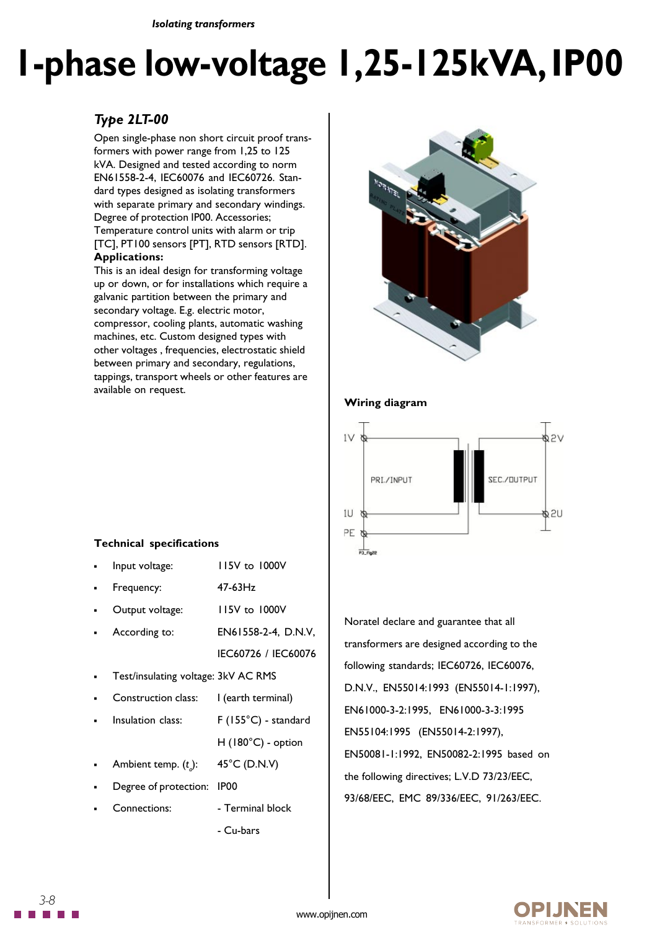*Isolating transformers*

# **1-phase low-voltage 1,25-125kVA, IP00**

## *Type 2LT-00*

Open single-phase non short circuit proof transformers with power range from 1,25 to 125 kVA. Designed and tested according to norm EN61558-2-4, IEC60076 and IEC60726. Standard types designed as isolating transformers with separate primary and secondary windings. Degree of protection IP00. Accessories; Temperature control units with alarm or trip [TC], PT100 sensors [PT], RTD sensors [RTD]. **Applications:**

This is an ideal design for transforming voltage up or down, or for installations which require a galvanic partition between the primary and secondary voltage. E.g. electric motor, compressor, cooling plants, automatic washing machines, etc. Custom designed types with other voltages , frequencies, electrostatic shield between primary and secondary, regulations, tappings, transport wheels or other features are available on request.



### **Wiring diagram**



## Noratel declare and guarantee that all transformers are designed according to the following standards; IEC60726, IEC60076, D.N.V., EN55014:1993 (EN55014-1:1997), EN61000-3-2:1995, EN61000-3-3:1995 EN55104:1995 (EN55014-2:1997), EN50081-1:1992, EN50082-2:1995 based on the following directives; L.V.D 73/23/EEC, 93/68/EEC, EMC 89/336/EEC, 91/263/EEC.

#### **Technical specifications**

| Input voltage:                      | 115V to 1000V              |
|-------------------------------------|----------------------------|
| Frequency:                          | $47-63$ Hz                 |
| Output voltage:                     | 115V to 1000V              |
| According to:                       | EN61558-2-4, D.N.V,        |
|                                     | IEC60726 / IEC60076        |
| Test/insulating voltage: 3kV AC RMS |                            |
| Construction class:                 | l (earth terminal)         |
| Insulation class:                   | F (155°C) - standard       |
|                                     | $H(180^{\circ}C)$ - option |
| Ambient temp. $(t_a)$ :             | 45°C (D.N.V)               |
| Degree of protection:               | IP00                       |
| Connections:                        | - Terminal block           |
|                                     | - Cu-bars                  |